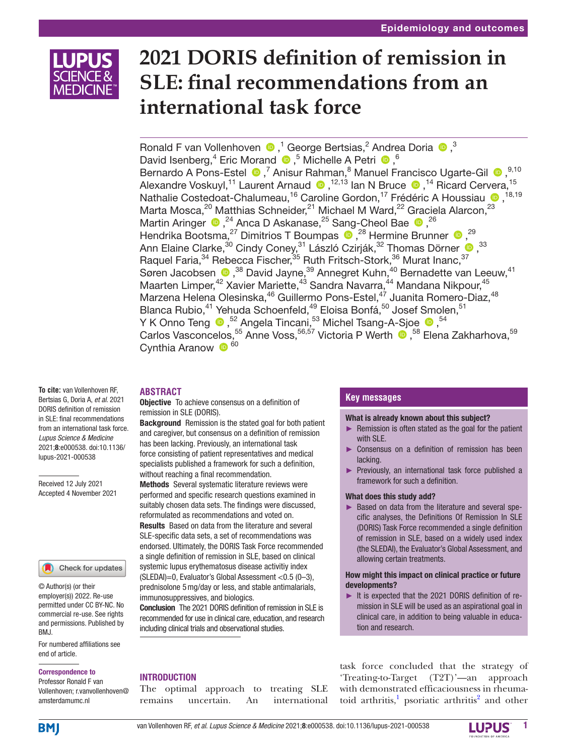

# **2021 DORIS definition of remission in SLE: final recommendations from an international task force**

RonaldF van Vollenhoven  $\bigcirc$  ,<sup>1</sup> George Bertsias,<sup>2</sup> Andrea Doria  $\bigcirc$  ,<sup>3</sup> David Isenberg,<sup>4</sup> Eric Morand  $\bullet$ ,<sup>5</sup> Michelle A Petri  $\bullet$ ,<sup>6</sup> BernardoA Pons-Estel  $\bigcirc$ , 7 Anisur Rahman, 8 Manuel Francisco Ugarte-Gil  $\bigcirc$ , 9,10 Alexandre Voskuyl,<sup>11</sup> Laurent Arnaud <sup>1,12,13</sup> Ian N Bruce <sup>1,14</sup> Ricard Cervera,<sup>15</sup> Nathalie Costedoat-Chalumeau,<sup>16</sup> Caroline Gordon,<sup>17</sup> Frédéric A Houssiau <sup>18,19</sup>, Marta Mosca, <sup>20</sup> Matthias Schneider, <sup>21</sup> Michael M Ward, <sup>22</sup> Graciela Alarcon, <sup>23</sup> MartinAringer  $\bigcirc$ ,  $^{24}$  Anca D Askanase,  $^{25}$  Sang-Cheol Bae  $\bigcirc$ ,  $^{26}$ HendrikaBootsma,<sup>27</sup> Dimitrios T Boumpas  $\bullet$ ,<sup>28</sup> Hermine Brunner  $\bullet$ ,<sup>29</sup> Ann Elaine Clarke, $^{30}$  Cindy Coney, $^{31}$  László Czirják, $^{32}$  Thomas Dörner  $\textcolor{red}{\bullet}$  , $^{33}$ Raquel Faria,<sup>34</sup> Rebecca Fischer,<sup>35</sup> Ruth Fritsch-Stork,<sup>36</sup> Murat Inanc,<sup>37</sup> Søren Jacobsen  $\bigcirc$ ,<sup>38</sup> David Jayne,<sup>39</sup> Annegret Kuhn,<sup>40</sup> Bernadette van Leeuw,<sup>41</sup> Maarten Limper,<sup>42</sup> Xavier Mariette,<sup>43</sup> Sandra Navarra,<sup>44</sup> Mandana Nikpour,<sup>45</sup> Marzena Helena Olesinska, <sup>46</sup> Guillermo Pons-Estel, <sup>47</sup> Juanita Romero-Diaz, <sup>48</sup> Blanca Rubio,<sup>41</sup> Yehuda Schoenfeld,<sup>49</sup> Eloisa Bonfá,<sup>50</sup> Josef Smolen,<sup>51</sup> Y K Onno Teng  $\bullet$  ,  $^{52}$  Angela Tincani,  $^{53}$  Michel Tsang-A-Sjoe  $\bullet$  ,  $^{54}$ Carlos Vasconcelos,<sup>55</sup> Anne Voss,<sup>56,57</sup> Victoria P Werth <sup>1</sup>,<sup>58</sup> Elena Zakharhova,<sup>59</sup> Cynthia Aranow  $\bullet$ <sup>60</sup>

# **ABSTRACT**

Objective To achieve consensus on a definition of remission in SLE (DORIS).

**Background** Remission is the stated goal for both patient and caregiver, but consensus on a definition of remission has been lacking. Previously, an international task force consisting of patient representatives and medical specialists published a framework for such a definition, without reaching a final recommendation.

Methods Several systematic literature reviews were performed and specific research questions examined in suitably chosen data sets. The findings were discussed, reformulated as recommendations and voted on. Results Based on data from the literature and several SLE-specific data sets, a set of recommendations was endorsed. Ultimately, the DORIS Task Force recommended a single definition of remission in SLE, based on clinical systemic lupus erythematosus disease activitiy index (SLEDAI)=0, Evaluator's Global Assessment <0.5 (0–3), prednisolone 5mg/day or less, and stable antimalarials, immunosuppressives, and biologics.

Conclusion The 2021 DORIS definition of remission in SLE is recommended for use in clinical care, education, and research including clinical trials and observational studies.

# **Key messages**

## What is already known about this subject?

- ► Remission is often stated as the goal for the patient with SLF
- ► Consensus on a definition of remission has been lacking.
- ► Previously, an international task force published a framework for such a definition.

# What does this study add?

► Based on data from the literature and several specific analyses, the Definitions Of Remission In SLE (DORIS) Task Force recommended a single definition of remission in SLE, based on a widely used index (the SLEDAI), the Evaluator's Global Assessment, and allowing certain treatments.

# How might this impact on clinical practice or future developments?

► It is expected that the 2021 DORIS definition of remission in SLE will be used as an aspirational goal in clinical care, in addition to being valuable in education and research.

task force concluded that the strategy of 'Treating-to-Target (T2T)'—an approach with demonstrated efficaciousness in rheumatoid arthritis,<sup>1</sup> psoriatic arthritis<sup>2</sup> and other

**To cite:** van Vollenhoven RF, Bertsias G, Doria A, *et al*. 2021 DORIS definition of remission in SLE: final recommendations from an international task force. *Lupus Science & Medicine* 2021;8:e000538. doi:10.1136/ lupus-2021-000538

Received 12 July 2021 Accepted 4 November 2021

#### Check for updates

© Author(s) (or their employer(s)) 2022. Re-use permitted under CC BY-NC. No commercial re-use. See rights and permissions. Published by BMJ.

For numbered affiliations see end of article.

#### Correspondence to

Professor Ronald F van Vollenhoven; r.vanvollenhoven@ amsterdamumc.nl

The optimal approach to treating SLE remains uncertain. An international

INTRODUCTION

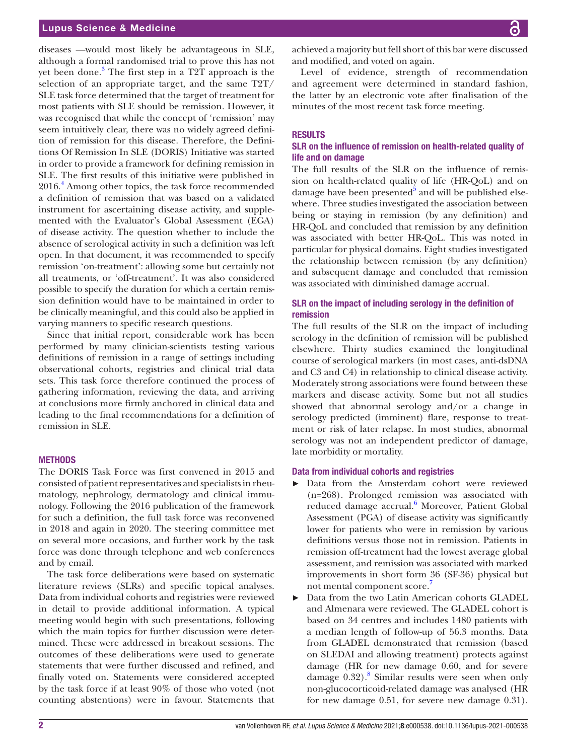# Lupus Science & Medicine

diseases —would most likely be advantageous in SLE, although a formal randomised trial to prove this has not yet been done.<sup>[3](#page-6-2)</sup> The first step in a T2T approach is the selection of an appropriate target, and the same T2T/ SLE task force determined that the target of treatment for most patients with SLE should be remission. However, it was recognised that while the concept of 'remission' may seem intuitively clear, there was no widely agreed definition of remission for this disease. Therefore, the Definitions Of Remission In SLE (DORIS) Initiative was started in order to provide a framework for defining remission in SLE. The first results of this initiative were published in 2016.[4](#page-6-3) Among other topics, the task force recommended a definition of remission that was based on a validated instrument for ascertaining disease activity, and supplemented with the Evaluator's Global Assessment (EGA) of disease activity. The question whether to include the absence of serological activity in such a definition was left open. In that document, it was recommended to specify remission 'on-treatment': allowing some but certainly not all treatments, or 'off-treatment'. It was also considered possible to specify the duration for which a certain remission definition would have to be maintained in order to be clinically meaningful, and this could also be applied in varying manners to specific research questions.

Since that initial report, considerable work has been performed by many clinician-scientists testing various definitions of remission in a range of settings including observational cohorts, registries and clinical trial data sets. This task force therefore continued the process of gathering information, reviewing the data, and arriving at conclusions more firmly anchored in clinical data and leading to the final recommendations for a definition of remission in SLE.

#### METHODS

The DORIS Task Force was first convened in 2015 and consisted of patient representatives and specialists in rheumatology, nephrology, dermatology and clinical immunology. Following the 2016 publication of the framework for such a definition, the full task force was reconvened in 2018 and again in 2020. The steering committee met on several more occasions, and further work by the task force was done through telephone and web conferences and by email.

The task force deliberations were based on systematic literature reviews (SLRs) and specific topical analyses. Data from individual cohorts and registries were reviewed in detail to provide additional information. A typical meeting would begin with such presentations, following which the main topics for further discussion were determined. These were addressed in breakout sessions. The outcomes of these deliberations were used to generate statements that were further discussed and refined, and finally voted on. Statements were considered accepted by the task force if at least 90% of those who voted (not counting abstentions) were in favour. Statements that

achieved a majority but fell short of this bar were discussed and modified, and voted on again.

Level of evidence, strength of recommendation and agreement were determined in standard fashion, the latter by an electronic vote after finalisation of the minutes of the most recent task force meeting.

# **RESULTS**

# SLR on the influence of remission on health-related quality of life and on damage

The full results of the SLR on the influence of remission on health-related quality of life (HR-QoL) and on damage have been presented<sup>[5](#page-6-4)</sup> and will be published elsewhere. Three studies investigated the association between being or staying in remission (by any definition) and HR-QoL and concluded that remission by any definition was associated with better HR-QoL. This was noted in particular for physical domains. Eight studies investigated the relationship between remission (by any definition) and subsequent damage and concluded that remission was associated with diminished damage accrual.

# SLR on the impact of including serology in the definition of remission

The full results of the SLR on the impact of including serology in the definition of remission will be published elsewhere. Thirty studies examined the longitudinal course of serological markers (in most cases, anti-dsDNA and C3 and C4) in relationship to clinical disease activity. Moderately strong associations were found between these markers and disease activity. Some but not all studies showed that abnormal serology and/or a change in serology predicted (imminent) flare, response to treatment or risk of later relapse. In most studies, abnormal serology was not an independent predictor of damage, late morbidity or mortality.

#### Data from individual cohorts and registries

- Data from the Amsterdam cohort were reviewed (n=268). Prolonged remission was associated with reduced damage accrual.<sup>[6](#page-6-5)</sup> Moreover, Patient Global Assessment (PGA) of disease activity was significantly lower for patients who were in remission by various definitions versus those not in remission. Patients in remission off-treatment had the lowest average global assessment, and remission was associated with marked improvements in short form 36 (SF-36) physical but not mental component score.
- ► Data from the two Latin American cohorts GLADEL and Almenara were reviewed. The GLADEL cohort is based on 34 centres and includes 1480 patients with a median length of follow-up of 56.3 months. Data from GLADEL demonstrated that remission (based on SLEDAI and allowing treatment) protects against damage (HR for new damage 0.60, and for severe damage 0.32).<sup>[8](#page-6-7)</sup> Similar results were seen when only non-glucocorticoid-related damage was analysed (HR for new damage 0.51, for severe new damage 0.31).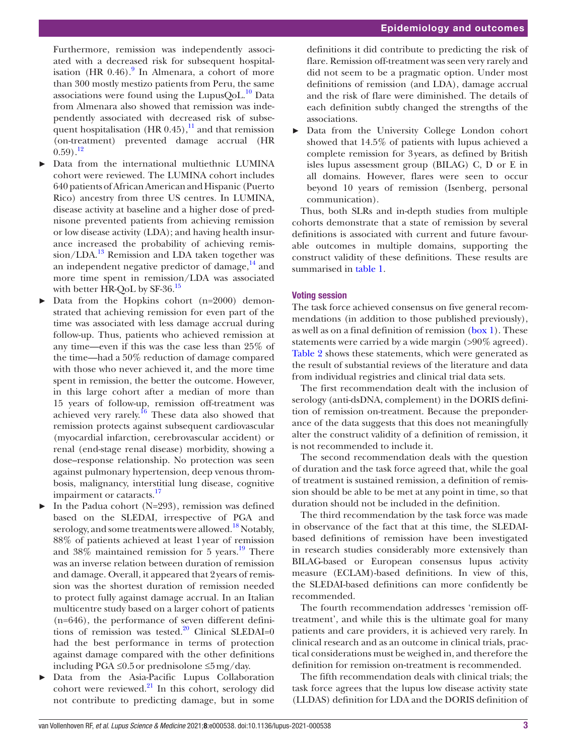Furthermore, remission was independently associated with a decreased risk for subsequent hospitalisation (HR  $0.46$ ).<sup>[9](#page-6-8)</sup> In Almenara, a cohort of more than 300 mostly mestizo patients from Peru, the same associations were found using the LupusQoL. $^{10}$  Data from Almenara also showed that remission was independently associated with decreased risk of subsequent hospitalisation (HR  $0.45$ ),<sup>[11](#page-6-10)</sup> and that remission (on-treatment) prevented damage accrual (HR  $(0.59)$ <sup>12</sup>

- ► Data from the international multiethnic LUMINA cohort were reviewed. The LUMINA cohort includes 640 patients of African American and Hispanic (Puerto Rico) ancestry from three US centres. In LUMINA, disease activity at baseline and a higher dose of prednisone prevented patients from achieving remission or low disease activity (LDA); and having health insurance increased the probability of achieving remis- $\sin/LDA$ <sup>[13](#page-6-12)</sup> Remission and LDA taken together was an independent negative predictor of damage, $^{14}$  and more time spent in remission/LDA was associated with better HR-QoL by  $SF-36.<sup>15</sup>$  $SF-36.<sup>15</sup>$  $SF-36.<sup>15</sup>$
- Data from the Hopkins cohort (n=2000) demonstrated that achieving remission for even part of the time was associated with less damage accrual during follow-up. Thus, patients who achieved remission at any time—even if this was the case less than 25% of the time—had a 50% reduction of damage compared with those who never achieved it, and the more time spent in remission, the better the outcome. However, in this large cohort after a median of more than 15 years of follow-up, remission off-treatment was achieved very rarely.<sup>[16](#page-7-0)</sup> These data also showed that remission protects against subsequent cardiovascular (myocardial infarction, cerebrovascular accident) or renal (end-stage renal disease) morbidity, showing a dose–response relationship. No protection was seen against pulmonary hypertension, deep venous thrombosis, malignancy, interstitial lung disease, cognitive impairment or cataracts.<sup>[17](#page-7-1)</sup>
- In the Padua cohort ( $N=293$ ), remission was defined based on the SLEDAI, irrespective of PGA and serology, and some treatments were allowed.<sup>18</sup> Notably, 88% of patients achieved at least 1year of remission and  $38\%$  maintained remission for 5 years.<sup>19</sup> There was an inverse relation between duration of remission and damage. Overall, it appeared that 2years of remission was the shortest duration of remission needed to protect fully against damage accrual. In an Italian multicentre study based on a larger cohort of patients (n=646), the performance of seven different definitions of remission was tested. $20$  Clinical SLEDAI=0 had the best performance in terms of protection against damage compared with the other definitions including PGA ≤0.5or prednisolone ≤5mg/day.
- Data from the Asia-Pacific Lupus Collaboration cohort were reviewed. $^{21}$  $^{21}$  $^{21}$  In this cohort, serology did not contribute to predicting damage, but in some

definitions it did contribute to predicting the risk of flare. Remission off-treatment was seen very rarely and did not seem to be a pragmatic option. Under most definitions of remission (and LDA), damage accrual and the risk of flare were diminished. The details of each definition subtly changed the strengths of the associations.

Data from the University College London cohort showed that 14.5% of patients with lupus achieved a complete remission for 3years, as defined by British isles lupus assessment group (BILAG) C, D or E in all domains. However, flares were seen to occur beyond 10 years of remission (Isenberg, personal communication).

Thus, both SLRs and in-depth studies from multiple cohorts demonstrate that a state of remission by several definitions is associated with current and future favourable outcomes in multiple domains, supporting the construct validity of these definitions. These results are summarised in [table](#page-3-0) 1.

# Voting session

The task force achieved consensus on five general recommendations (in addition to those published previously), as well as on a final definition of remission [\(box](#page-3-1) 1). These statements were carried by a wide margin (>90% agreed). [Table](#page-4-0) 2 shows these statements, which were generated as the result of substantial reviews of the literature and data from individual registries and clinical trial data sets.

The first recommendation dealt with the inclusion of serology (anti-dsDNA, complement) in the DORIS definition of remission on-treatment. Because the preponderance of the data suggests that this does not meaningfully alter the construct validity of a definition of remission, it is not recommended to include it.

The second recommendation deals with the question of duration and the task force agreed that, while the goal of treatment is sustained remission, a definition of remission should be able to be met at any point in time, so that duration should not be included in the definition.

The third recommendation by the task force was made in observance of the fact that at this time, the SLEDAIbased definitions of remission have been investigated in research studies considerably more extensively than BILAG-based or European consensus lupus activity measure (ECLAM)-based definitions. In view of this, the SLEDAI-based definitions can more confidently be recommended.

The fourth recommendation addresses 'remission offtreatment', and while this is the ultimate goal for many patients and care providers, it is achieved very rarely. In clinical research and as an outcome in clinical trials, practical considerations must be weighed in, and therefore the definition for remission on-treatment is recommended.

The fifth recommendation deals with clinical trials; the task force agrees that the lupus low disease activity state (LLDAS) definition for LDA and the DORIS definition of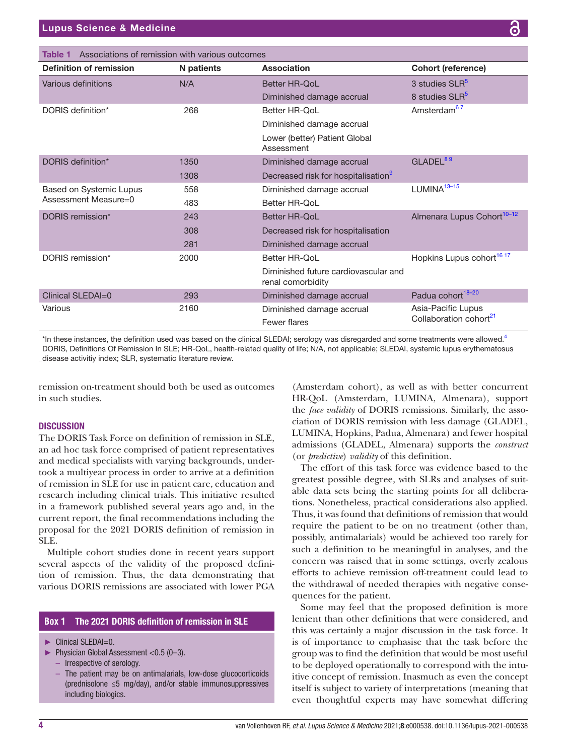<span id="page-3-0"></span>

| Associations of remission with various outcomes<br>Table 1 |                   |                                                           |                                                          |  |  |  |
|------------------------------------------------------------|-------------------|-----------------------------------------------------------|----------------------------------------------------------|--|--|--|
| <b>Definition of remission</b>                             | <b>N</b> patients | Association                                               | <b>Cohort (reference)</b>                                |  |  |  |
| Various definitions                                        | N/A               | <b>Better HR-OoL</b>                                      | 3 studies SLR <sup>5</sup>                               |  |  |  |
|                                                            |                   | Diminished damage accrual                                 | 8 studies SLR <sup>5</sup>                               |  |  |  |
| DORIS definition*                                          | 268               | Better HR-QoL                                             | Amsterdam <sup>67</sup>                                  |  |  |  |
|                                                            |                   | Diminished damage accrual                                 |                                                          |  |  |  |
|                                                            |                   | Lower (better) Patient Global<br>Assessment               |                                                          |  |  |  |
| DORIS definition*                                          | 1350              | Diminished damage accrual                                 | GLADEL <sup>89</sup>                                     |  |  |  |
|                                                            | 1308              | Decreased risk for hospitalisation <sup>9</sup>           |                                                          |  |  |  |
| Based on Systemic Lupus<br>Assessment Measure=0            | 558               | Diminished damage accrual                                 | $LUMINA13-15$                                            |  |  |  |
|                                                            | 483               | Better HR-OoL                                             |                                                          |  |  |  |
| DORIS remission*                                           | 243               | <b>Better HR-QoL</b>                                      | Almenara Lupus Cohort <sup>10-12</sup>                   |  |  |  |
|                                                            | 308               | Decreased risk for hospitalisation                        |                                                          |  |  |  |
|                                                            | 281               | Diminished damage accrual                                 |                                                          |  |  |  |
| DORIS remission*                                           | 2000              | Better HR-OoL                                             | Hopkins Lupus cohort <sup>16 17</sup>                    |  |  |  |
|                                                            |                   | Diminished future cardiovascular and<br>renal comorbidity |                                                          |  |  |  |
| Clinical SLEDAI=0                                          | 293               | Diminished damage accrual                                 | Padua cohort <sup>18-20</sup>                            |  |  |  |
| Various                                                    | 2160              | Diminished damage accrual<br>Fewer flares                 | Asia-Pacific Lupus<br>Collaboration cohort <sup>21</sup> |  |  |  |

\*In these instances, the definition used was based on the clinical SLEDAI; serology was disregarded and some treatments were allowed.<sup>[4](#page-6-3)</sup> DORIS, Definitions Of Remission In SLE; HR-QoL, health-related quality of life; N/A, not applicable; SLEDAI, systemic lupus erythematosus disease activitiy index; SLR, systematic literature review.

remission on-treatment should both be used as outcomes in such studies.

# **DISCUSSION**

The DORIS Task Force on definition of remission in SLE, an ad hoc task force comprised of patient representatives and medical specialists with varying backgrounds, undertook a multiyear process in order to arrive at a definition of remission in SLE for use in patient care, education and research including clinical trials. This initiative resulted in a framework published several years ago and, in the current report, the final recommendations including the proposal for the 2021 DORIS definition of remission in SLE.

Multiple cohort studies done in recent years support several aspects of the validity of the proposed definition of remission. Thus, the data demonstrating that various DORIS remissions are associated with lower PGA

# **Box 1** The 2021 DORIS definition of remission in SLE

- <span id="page-3-1"></span>► Clinical SLEDAI=0.
- ► Physician Global Assessment <0.5 (0–3).
	- Irrespective of serology.
	- The patient may be on antimalarials, low-dose glucocorticoids (prednisolone ≤5 mg/day), and/or stable immunosuppressives including biologics.

(Amsterdam cohort), as well as with better concurrent HR-QoL (Amsterdam, LUMINA, Almenara), support the *face validity* of DORIS remissions. Similarly, the association of DORIS remission with less damage (GLADEL, LUMINA, Hopkins, Padua, Almenara) and fewer hospital admissions (GLADEL, Almenara) supports the *construct* (or *predictive*) *validity* of this definition.

The effort of this task force was evidence based to the greatest possible degree, with SLRs and analyses of suitable data sets being the starting points for all deliberations. Nonetheless, practical considerations also applied. Thus, it was found that definitions of remission that would require the patient to be on no treatment (other than, possibly, antimalarials) would be achieved too rarely for such a definition to be meaningful in analyses, and the concern was raised that in some settings, overly zealous efforts to achieve remission off-treatment could lead to the withdrawal of needed therapies with negative consequences for the patient.

Some may feel that the proposed definition is more lenient than other definitions that were considered, and this was certainly a major discussion in the task force. It is of importance to emphasise that the task before the group was to find the definition that would be most useful to be deployed operationally to correspond with the intuitive concept of remission. Inasmuch as even the concept itself is subject to variety of interpretations (meaning that even thoughtful experts may have somewhat differing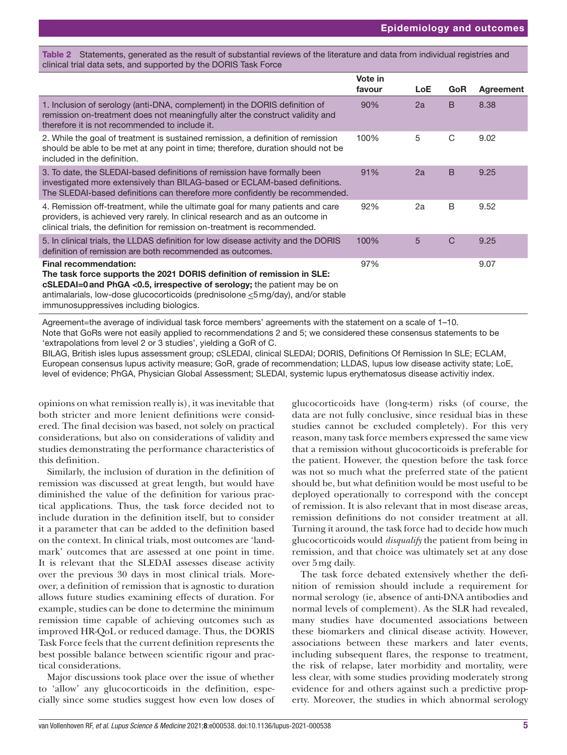#### <span id="page-4-0"></span>Table 2 Statements, generated as the result of substantial reviews of the literature and data from individual registries and clinical trial data sets, and supported by the DORIS Task Force

|                                                                                                                                                                                                                                                                                                                  | Vote in<br>favour | LoE | <b>GoR</b>   | Agreement |
|------------------------------------------------------------------------------------------------------------------------------------------------------------------------------------------------------------------------------------------------------------------------------------------------------------------|-------------------|-----|--------------|-----------|
| 1. Inclusion of serology (anti-DNA, complement) in the DORIS definition of<br>remission on-treatment does not meaningfully alter the construct validity and<br>therefore it is not recommended to include it.                                                                                                    | 90%               | 2a  | B            | 8.38      |
| 2. While the goal of treatment is sustained remission, a definition of remission<br>should be able to be met at any point in time; therefore, duration should not be<br>included in the definition.                                                                                                              | 100%              | 5   | C            | 9.02      |
| 3. To date, the SLEDAI-based definitions of remission have formally been<br>investigated more extensively than BILAG-based or ECLAM-based definitions.<br>The SLEDAI-based definitions can therefore more confidently be recommended.                                                                            | 91%               | 2a  | B            | 9.25      |
| 4. Remission off-treatment, while the ultimate goal for many patients and care<br>providers, is achieved very rarely. In clinical research and as an outcome in<br>clinical trials, the definition for remission on-treatment is recommended.                                                                    | 92%               | 2a  | B            | 9.52      |
| 5. In clinical trials, the LLDAS definition for low disease activity and the DORIS<br>definition of remission are both recommended as outcomes.                                                                                                                                                                  | 100%              | 5   | $\mathsf{C}$ | 9.25      |
| <b>Final recommendation:</b><br>The task force supports the 2021 DORIS definition of remission in SLE:<br>cSLEDAI=0 and PhGA <0.5, irrespective of serology; the patient may be on<br>antimalarials, low-dose glucocorticoids (prednisolone ≤5 mg/day), and/or stable<br>immunosuppressives including biologics. | 97%               |     |              | 9.07      |

Agreement=the average of individual task force members' agreements with the statement on a scale of 1–10. Note that GoRs were not easily applied to recommendations 2 and 5; we considered these consensus statements to be 'extrapolations from level 2 or 3 studies', yielding a GoR of C.

BILAG, British isles lupus assessment group; cSLEDAI, clinical SLEDAI; DORIS, Definitions Of Remission In SLE; ECLAM, European consensus lupus activity measure; GoR, grade of recommendation; LLDAS, lupus low disease activity state; LoE, level of evidence; PhGA, Physician Global Assessment; SLEDAI, systemic lupus erythematosus disease activitiy index.

opinions on what remission really is), it was inevitable that both stricter and more lenient definitions were considered. The final decision was based, not solely on practical considerations, but also on considerations of validity and studies demonstrating the performance characteristics of this definition.

Similarly, the inclusion of duration in the definition of remission was discussed at great length, but would have diminished the value of the definition for various practical applications. Thus, the task force decided not to include duration in the definition itself, but to consider it a parameter that can be added to the definition based on the context. In clinical trials, most outcomes are 'landmark' outcomes that are assessed at one point in time. It is relevant that the SLEDAI assesses disease activity over the previous 30 days in most clinical trials. Moreover, a definition of remission that is agnostic to duration allows future studies examining effects of duration. For example, studies can be done to determine the minimum remission time capable of achieving outcomes such as improved HR-QoL or reduced damage. Thus, the DORIS Task Force feels that the current definition represents the best possible balance between scientific rigour and practical considerations.

Major discussions took place over the issue of whether to 'allow' any glucocorticoids in the definition, especially since some studies suggest how even low doses of

glucocorticoids have (long-term) risks (of course, the data are not fully conclusive, since residual bias in these studies cannot be excluded completely). For this very reason, many task force members expressed the same view that a remission without glucocorticoids is preferable for the patient. However, the question before the task force was not so much what the preferred state of the patient should be, but what definition would be most useful to be deployed operationally to correspond with the concept of remission. It is also relevant that in most disease areas, remission definitions do not consider treatment at all. Turning it around, the task force had to decide how much glucocorticoids would *disqualify* the patient from being in remission, and that choice was ultimately set at any dose over 5mg daily.

The task force debated extensively whether the definition of remission should include a requirement for normal serology (ie, absence of anti-DNA antibodies and normal levels of complement). As the SLR had revealed, many studies have documented associations between these biomarkers and clinical disease activity. However, associations between these markers and later events, including subsequent flares, the response to treatment, the risk of relapse, later morbidity and mortality, were less clear, with some studies providing moderately strong evidence for and others against such a predictive property. Moreover, the studies in which abnormal serology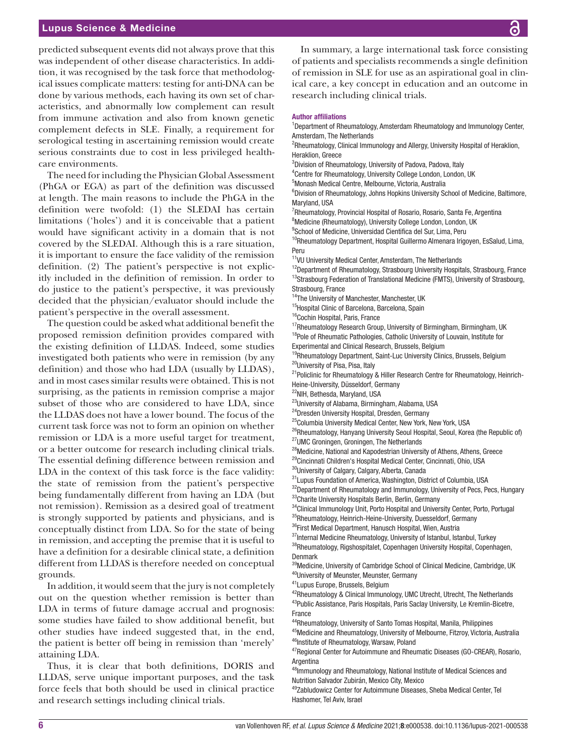# Lupus Science & Medicine

predicted subsequent events did not always prove that this was independent of other disease characteristics. In addition, it was recognised by the task force that methodological issues complicate matters: testing for anti-DNA can be done by various methods, each having its own set of characteristics, and abnormally low complement can result from immune activation and also from known genetic complement defects in SLE. Finally, a requirement for serological testing in ascertaining remission would create serious constraints due to cost in less privileged healthcare environments.

The need for including the Physician Global Assessment (PhGA or EGA) as part of the definition was discussed at length. The main reasons to include the PhGA in the definition were twofold: (1) the SLEDAI has certain limitations ('holes') and it is conceivable that a patient would have significant activity in a domain that is not covered by the SLEDAI. Although this is a rare situation, it is important to ensure the face validity of the remission definition. (2) The patient's perspective is not explicitly included in the definition of remission. In order to do justice to the patient's perspective, it was previously decided that the physician/evaluator should include the patient's perspective in the overall assessment.

The question could be asked what additional benefit the proposed remission definition provides compared with the existing definition of LLDAS. Indeed, some studies investigated both patients who were in remission (by any definition) and those who had LDA (usually by LLDAS), and in most cases similar results were obtained. This is not surprising, as the patients in remission comprise a major subset of those who are considered to have LDA, since the LLDAS does not have a lower bound. The focus of the current task force was not to form an opinion on whether remission or LDA is a more useful target for treatment, or a better outcome for research including clinical trials. The essential defining difference between remission and LDA in the context of this task force is the face validity: the state of remission from the patient's perspective being fundamentally different from having an LDA (but not remission). Remission as a desired goal of treatment is strongly supported by patients and physicians, and is conceptually distinct from LDA. So for the state of being in remission, and accepting the premise that it is useful to have a definition for a desirable clinical state, a definition different from LLDAS is therefore needed on conceptual grounds.

In addition, it would seem that the jury is not completely out on the question whether remission is better than LDA in terms of future damage accrual and prognosis: some studies have failed to show additional benefit, but other studies have indeed suggested that, in the end, the patient is better off being in remission than 'merely' attaining LDA.

Thus, it is clear that both definitions, DORIS and LLDAS, serve unique important purposes, and the task force feels that both should be used in clinical practice and research settings including clinical trials.

In summary, a large international task force consisting of patients and specialists recommends a single definition of remission in SLE for use as an aspirational goal in clinical care, a key concept in education and an outcome in research including clinical trials.

#### Author affiliations

<sup>1</sup>Department of Rheumatology, Amsterdam Rheumatology and Immunology Center, Amsterdam, The Netherlands

<sup>2</sup>Rheumatology, Clinical Immunology and Allergy, University Hospital of Heraklion, Heraklion, Greece

<sup>3</sup>Division of Rheumatology, University of Padova, Padova, Italy

4 Centre for Rheumatology, University College London, London, UK

5 Monash Medical Centre, Melbourne, Victoria, Australia

<sup>6</sup>Division of Rheumatology, Johns Hopkins University School of Medicine, Baltimore, Maryland, USA

<sup>7</sup>Rheumatology, Provincial Hospital of Rosario, Rosario, Santa Fe, Argentina

<sup>8</sup>Medicine (Rheumatology), University College London, London, UK

<sup>9</sup>School of Medicine, Universidad Cientifica del Sur, Lima, Peru

 $10$ Rheumatology Department, Hospital Guillermo Almenara Irigoyen, EsSalud, Lima, Peru

<sup>11</sup>VU University Medical Center, Amsterdam, The Netherlands

<sup>12</sup>Department of Rheumatology, Strasbourg University Hospitals, Strasbourg, France <sup>13</sup>Strasbourg Federation of Translational Medicine (FMTS), University of Strasbourg, Strasbourg, France

14The University of Manchester, Manchester, UK

<sup>15</sup>Hospital Clinic of Barcelona, Barcelona, Spain

<sup>16</sup>Cochin Hospital, Paris, France

<sup>17</sup>Rheumatology Research Group, University of Birmingham, Birmingham, UK <sup>18</sup>Pole of Rheumatic Pathologies, Catholic University of Louvain, Institute for

Experimental and Clinical Research, Brussels, Belgium

<sup>19</sup>Rheumatology Department, Saint-Luc University Clinics, Brussels, Belgium 20University of Pisa, Pisa, Italy

<sup>21</sup>Policlinic for Rheumatology & Hiller Research Centre for Rheumatology, Heinrich-Heine-University, Düsseldorf, Germany

22NIH, Bethesda, Maryland, USA

<sup>23</sup>University of Alabama, Birmingham, Alabama, USA

<sup>24</sup>Dresden University Hospital, Dresden, Germany

<sup>25</sup>Columbia University Medical Center, New York, New York, USA

 $^{26}$ Rheumatology, Hanyang University Seoul Hospital, Seoul, Korea (the Republic of) 27UMC Groningen, Groningen, The Netherlands

<sup>28</sup>Medicine, National and Kapodestrian University of Athens, Athens, Greece

<sup>29</sup>Cincinnati Children's Hospital Medical Center, Cincinnati, Ohio, USA

<sup>30</sup>University of Calgary, Calgary, Alberta, Canada

31Lupus Foundation of America, Washington, District of Columbia, USA

<sup>32</sup>Department of Rheumatology and Immunology, University of Pecs, Pecs, Hungary 33Charite University Hospitals Berlin, Berlin, Germany

<sup>34</sup>Clinical Immunology Unit, Porto Hospital and University Center, Porto, Portugal

<sup>35</sup>Rheumatology, Heinrich-Heine-University, Duesseldorf, Germany

36First Medical Department, Hanusch Hospital, Wien, Austria

37Internal Medicine Rheumatology, University of Istanbul, Istanbul, Turkey

38Rheumatology, Rigshospitalet, Copenhagen University Hospital, Copenhagen, Denmark

<sup>39</sup>Medicine, University of Cambridge School of Clinical Medicine, Cambridge, UK 40University of Meunster, Meunster, Germany

41Lupus Europe, Brussels, Belgium

<sup>42</sup>Rheumatology & Clinical Immunology, UMC Utrecht, Utrecht, The Netherlands <sup>43</sup>Public Assistance, Paris Hospitals, Paris Saclay University, Le Kremlin-Bicetre, France

44Rheumatology, University of Santo Tomas Hospital, Manila, Philippines

45Medicine and Rheumatology, University of Melbourne, Fitzroy, Victoria, Australia 46Institute of Rheumatology, Warsaw, Poland

47Regional Center for Autoimmune and Rheumatic Diseases (GO-CREAR), Rosario, Argentina

48Immunology and Rheumatology, National Institute of Medical Sciences and Nutrition Salvador Zubirán, Mexico City, Mexico

49Zabludowicz Center for Autoimmune Diseases, Sheba Medical Center, Tel Hashomer, Tel Aviv, Israel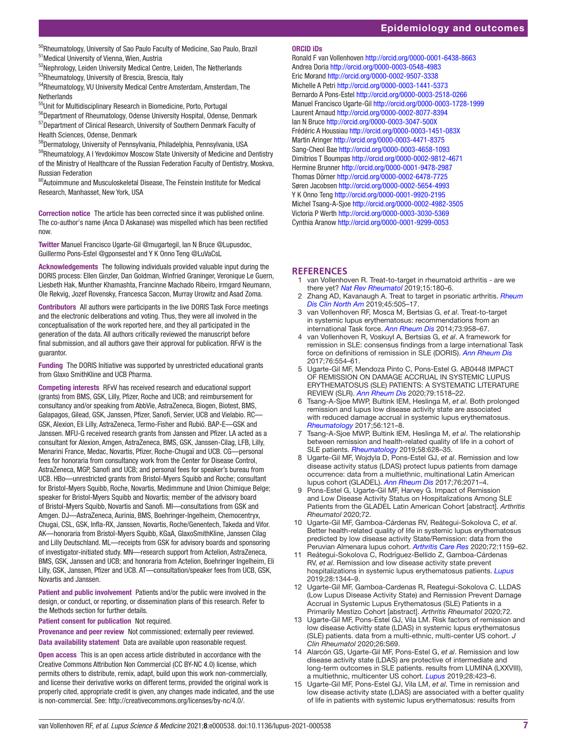<sup>50</sup>Rheumatology, University of Sao Paulo Faculty of Medicine, Sao Paulo, Brazil 51Medical University of Vienna, Wien, Austria

<sup>52</sup>Nephrology, Leiden University Medical Centre, Leiden, The Netherlands 53Rheumatology, University of Brescia, Brescia, Italy

<sup>54</sup>Rheumatology, VU University Medical Centre Amsterdam, Amsterdam, The **Netherlands** 

55Unit for Multidisciplinary Research in Biomedicine, Porto, Portugal

56Department of Rheumatology, Odense University Hospital, Odense, Denmark 57Department of Clinical Research, University of Southern Denmark Faculty of Health Sciences, Odense, Denmark

58Dermatology, University of Pennsylvania, Philadelphia, Pennsylvania, USA

59Rheumatology, A I Yevdokimov Moscow State University of Medicine and Dentistry of the Ministry of Healthcare of the Russian Federation Faculty of Dentistry, Moskva, Russian Federation

60Autoimmune and Musculoskeletal Disease, The Feinstein Institute for Medical Research, Manhasset, New York, USA

Correction notice The article has been corrected since it was published online. The co-author's name (Anca D Askanase) was mispelled which has been rectified now.

Twitter Manuel Francisco Ugarte-Gil [@mugartegil](https://twitter.com/mugartegil), Ian N Bruce [@Lupusdoc,](https://twitter.com/Lupusdoc) Guillermo Pons-Estel [@gponsestel](https://twitter.com/gponsestel) and Y K Onno Teng [@LuVaCsL](https://twitter.com/LuVaCsL)

Acknowledgements The following individuals provided valuable input during the DORIS process: Ellen Ginzler, Dan Goldman, Winfried Graninger, Veronique Le Guern, Liesbeth Hak, Munther Khamashta, Francinne Machado Ribeiro, Irmgard Neumann, Ole Rekvig, Jozef Rovensky, Francesca Saccon, Murray Urowitz and Asad Zoma.

Contributors All authors were participants in the live DORIS Task Force meetings and the electronic deliberations and voting. Thus, they were all involved in the conceptualisation of the work reported here, and they all participated in the generation of the data. All authors critically reviewed the manuscript before final submission, and all authors gave their approval for publication. RFvV is the guarantor.

Funding The DORIS Initiative was supported by unrestricted educational grants from Glaxo SmithKline and UCB Pharma.

Competing interests RFvV has received research and educational support (grants) from BMS, GSK, Lilly, Pfizer, Roche and UCB; and reimbursement for consultancy and/or speaking from AbbVie, AstraZeneca, Biogen, Biotest, BMS, Galapagos, Gilead, GSK, Janssen, Pfizer, Sanofi, Servier, UCB and Vielabio. RC— GSK, Alexion, Eli Lilly, AstraZeneca, Termo-Fisher and Rubió. BAP-E—GSK and Janssen. MFU-G received research grants from Janssen and Pfizer. LA acted as a consultant for Alexion, Amgen, AstraZeneca, BMS, GSK, Janssen-Cilag, LFB, Lilly, Menarini France, Medac, Novartis, Pfizer, Roche-Chugaï and UCB. CG—personal fees for honoraria from consultancy work from the Center for Disease Control, AstraZeneca, MGP, Sanofi and UCB; and personal fees for speaker's bureau from UCB. HBo—unrestricted grants from Bristol-Myers Squibb and Roche; consultant for Bristol-Myers Squibb, Roche, Novartis, Medimmune and Union Chimique Belge; speaker for Bristol-Myers Squibb and Novartis; member of the advisory board of Bristol-Myers Squibb, Novartis and Sanofi. MI—consultations from GSK and Amgen. DJ—AstraZeneca, Aurinia, BMS, Boehringer-Ingelheim, Chemocentryx, Chugai, CSL, GSK, Infla-RX, Janssen, Novartis, Roche/Genentech, Takeda and Vifor. AK—honoraria from Bristol-Myers Squibb, KGaA, GlaxoSmithKline, Janssen Cilag and Lilly Deutschland. ML—receipts from GSK for advisory boards and sponsoring of investigator-initiated study. MN—research support from Actelion, AstraZeneca, BMS, GSK, Janssen and UCB; and honoraria from Actelion, Boehringer Ingelheim, Eli Lilly, GSK, Janssen, Pfizer and UCB. AT—consultation/speaker fees from UCB, GSK, Novartis and Janssen.

Patient and public involvement Patients and/or the public were involved in the design, or conduct, or reporting, or dissemination plans of this research. Refer to the Methods section for further details.

Patient consent for publication Not required.

Provenance and peer review Not commissioned; externally peer reviewed. Data availability statement Data are available upon reasonable request.

Open access This is an open access article distributed in accordance with the Creative Commons Attribution Non Commercial (CC BY-NC 4.0) license, which permits others to distribute, remix, adapt, build upon this work non-commercially, and license their derivative works on different terms, provided the original work is properly cited, appropriate credit is given, any changes made indicated, and the use is non-commercial. See: [http://creativecommons.org/licenses/by-nc/4.0/.](http://creativecommons.org/licenses/by-nc/4.0/)

#### ORCID iDs

Ronald F van Vollenhoven<http://orcid.org/0000-0001-6438-8663> Andrea Doria<http://orcid.org/0000-0003-0548-4983> Eric Morand<http://orcid.org/0000-0002-9507-3338> Michelle A Petri<http://orcid.org/0000-0003-1441-5373> Bernardo A Pons-Estel <http://orcid.org/0000-0003-2518-0266> Manuel Francisco Ugarte-Gil<http://orcid.org/0000-0003-1728-1999> Laurent Arnaud<http://orcid.org/0000-0002-8077-8394> Ian N Bruce<http://orcid.org/0000-0003-3047-500X> Frédéric A Houssiau<http://orcid.org/0000-0003-1451-083X> Martin Aringer<http://orcid.org/0000-0003-4471-8375> Sang-Cheol Bae<http://orcid.org/0000-0003-4658-1093> Dimitrios T Boumpas<http://orcid.org/0000-0002-9812-4671> Hermine Brunner<http://orcid.org/0000-0001-9478-2987> Thomas Dörner<http://orcid.org/0000-0002-6478-7725> Søren Jacobsen<http://orcid.org/0000-0002-5654-4993> Y K Onno Teng <http://orcid.org/0000-0001-9920-2195> Michel Tsang-A-Sjoe <http://orcid.org/0000-0002-4982-3505> Victoria P Werth <http://orcid.org/0000-0003-3030-5369> Cynthia Aranow<http://orcid.org/0000-0001-9299-0053>

## **REFERENCES**

- <span id="page-6-0"></span>1 van Vollenhoven R. Treat-to-target in rheumatoid arthritis - are we there yet? *[Nat Rev Rheumatol](http://dx.doi.org/10.1038/s41584-019-0170-5)* 2019;15:180–6.
- <span id="page-6-1"></span>2 Zhang AD, Kavanaugh A. Treat to target in psoriatic arthritis. *[Rheum](http://dx.doi.org/10.1016/j.rdc.2019.07.002)  [Dis Clin North Am](http://dx.doi.org/10.1016/j.rdc.2019.07.002)* 2019;45:505–17.
- <span id="page-6-2"></span>3 van Vollenhoven RF, Mosca M, Bertsias G, *et al*. Treat-to-target in systemic lupus erythematosus: recommendations from an international Task force. *[Ann Rheum Dis](http://dx.doi.org/10.1136/annrheumdis-2013-205139)* 2014;73:958–67.
- <span id="page-6-3"></span>4 van Vollenhoven R, Voskuyl A, Bertsias G, *et al*. A framework for remission in SLE: consensus findings from a large international Task force on definitions of remission in SLE (DORIS). *[Ann Rheum Dis](http://dx.doi.org/10.1136/annrheumdis-2016-209519)* 2017;76:554–61.
- <span id="page-6-4"></span>5 Ugarte-Gil MF, Mendoza Pinto C, Pons-Estel G. AB0448 IMPACT OF REMISSION ON DAMAGE ACCRUAL IN SYSTEMIC LUPUS ERYTHEMATOSUS (SLE) PATIENTS: A SYSTEMATIC LITERATURE REVIEW (SLR). *[Ann Rheum Dis](http://dx.doi.org/10.1136/annrheumdis-2020-eular.2037)* 2020;79:1518–22.
- <span id="page-6-5"></span>6 Tsang-A-Sjoe MWP, Bultink IEM, Heslinga M, *et al*. Both prolonged remission and lupus low disease activity state are associated with reduced damage accrual in systemic lupus erythematosus. *[Rheumatology](http://dx.doi.org/10.1093/rheumatology/kew377)* 2017;56:121–8.
- <span id="page-6-6"></span>7 Tsang-A-Sjoe MWP, Bultink IEM, Heslinga M, *et al*. The relationship between remission and health-related quality of life in a cohort of SLE patients. *[Rheumatology](http://dx.doi.org/10.1093/rheumatology/key349)* 2019;58:628–35.
- <span id="page-6-7"></span>8 Ugarte-Gil MF, Wojdyla D, Pons-Estel GJ, *et al*. Remission and low disease activity status (LDAS) protect lupus patients from damage occurrence: data from a multiethnic, multinational Latin American lupus cohort (GLADEL). *[Ann Rheum Dis](http://dx.doi.org/10.1136/annrheumdis-2017-211814)* 2017;76:2071–4.
- <span id="page-6-8"></span>9 Pons-Estel G, Ugarte-Gil MF, Harvey G. Impact of Remission and Low Disease Activity Status on Hospitalizations Among SLE Patients from the GLADEL Latin American Cohort [abstract]. *Arthritis Rheumatol* 2020;72.
- <span id="page-6-9"></span>10 Ugarte-Gil MF, Gamboa-Cárdenas RV, Reátegui-Sokolova C, *et al*. Better health-related quality of life in systemic lupus erythematosus predicted by low disease activity State/Remission: data from the Peruvian Almenara lupus cohort. *[Arthritis Care Res](http://dx.doi.org/10.1002/acr.24009)* 2020;72:1159–62.
- <span id="page-6-10"></span>11 Reátegui-Sokolova C, Rodríguez-Bellido Z, Gamboa-Cárdenas RV, *et al*. Remission and low disease activity state prevent hospitalizations in systemic lupus erythematosus patients. *[Lupus](http://dx.doi.org/10.1177/0961203319876998)* 2019;28:1344–9.
- <span id="page-6-11"></span>12 Ugarte-Gil MF, Gamboa-Cardenas R, Reategui-Sokolova C. LLDAS (Low Lupus Disease Activity State) and Remission Prevent Damage Accrual in Systemic Lupus Erythematosus (SLE) Patients in a Primarily Mestizo Cohort [abstract]. *Arthritis Rheumatol* 2020;72.
- <span id="page-6-12"></span>13 Ugarte-Gil MF, Pons-Estel GJ, Vila LM. Risk factors of remission and low disease Activitty state (LDAS) in systemic lupus erythematosus (SLE) patients. data from a multi-ethnic, multi-center US cohort. *J Clin Rheumatol* 2020;26:S69.
- <span id="page-6-13"></span>14 Alarcón GS, Ugarte-Gil MF, Pons-Estel G, *et al*. Remission and low disease activity state (LDAS) are protective of intermediate and long-term outcomes in SLE patients. results from LUMINA (LXXVIII), a multiethnic, multicenter US cohort. *[Lupus](http://dx.doi.org/10.1177/0961203319826693)* 2019;28:423–6.
- <span id="page-6-14"></span>15 Ugarte-Gil MF, Pons-Estel GJ, Vila LM, *et al*. Time in remission and low disease activity state (LDAS) are associated with a better quality of life in patients with systemic lupus erythematosus: results from